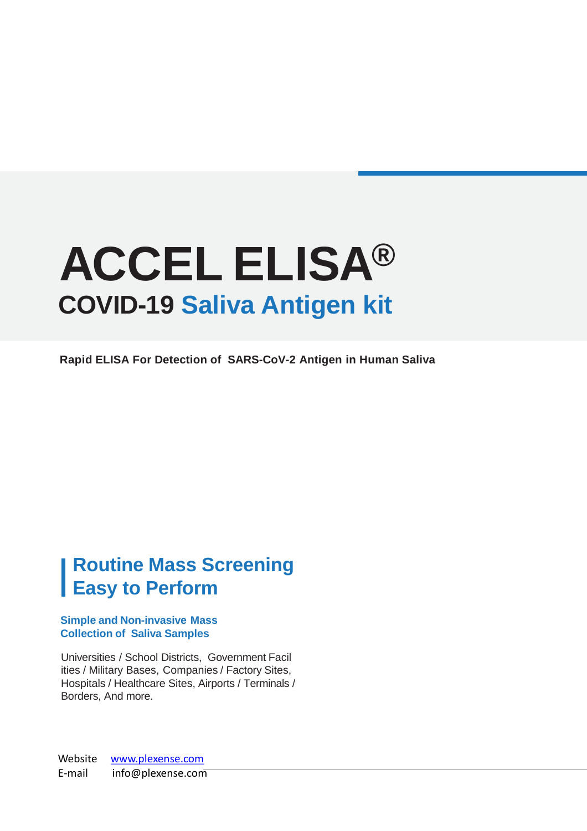# **COVID-19 Saliva Antigen kit ACCEL ELISA®**

**Rapid ELISA For Detection of SARS-CoV-2 Antigen in Human Saliva**

### **Routine Mass Screening Easy to Perform**

#### **Simple and Non-invasive Mass Collection of Saliva Samples**

Universities / School Districts, Government Facil ities / Military Bases, Companies / Factory Sites, Hospitals / Healthcare Sites, Airports / Terminals / Borders, And more.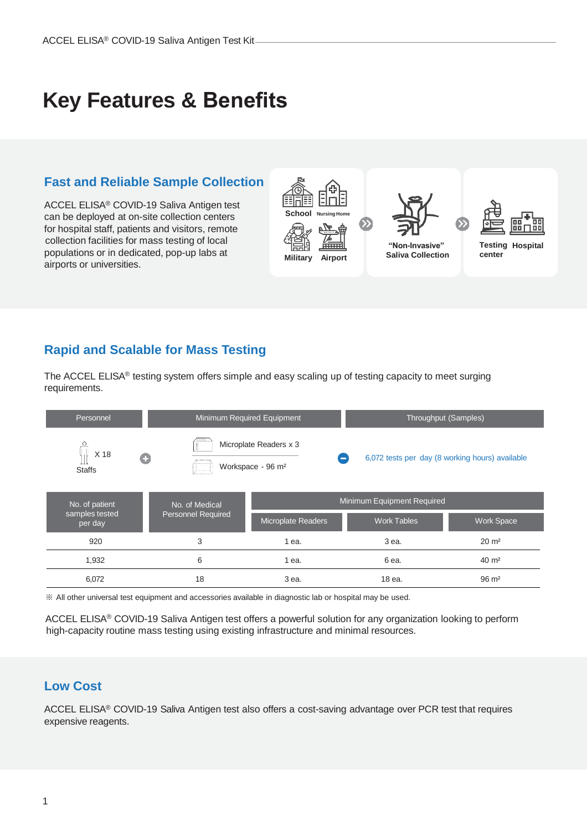### **Key Features & Benefits**

### **Fast and Reliable Sample Collection**

ACCEL ELISA® COVID-19 Saliva Antigen test can be deployed at on-site collection centers for hospital staff, patients and visitors, remote collection facilities for mass testing of local populations or in dedicated, pop-up labs at airports or universities.



### **Rapid and Scalable for Mass Testing**

The ACCEL ELISA® testing system offers simple and easy scaling up of testing capacity to meet surging requirements.

| Personnel                 |   | Minimum Required Equipment                              |                            |  | Throughput (Samples)                            |                   |
|---------------------------|---|---------------------------------------------------------|----------------------------|--|-------------------------------------------------|-------------------|
| X 18<br><b>Staffs</b>     | G | Microplate Readers x 3<br>Workspace - 96 m <sup>2</sup> |                            |  | 6,072 tests per day (8 working hours) available |                   |
| No. of patient            |   | No. of Medical                                          | Minimum Equipment Required |  |                                                 |                   |
| samples tested<br>per day |   | <b>Personnel Required</b>                               | <b>Microplate Readers</b>  |  | <b>Work Tables</b>                              | <b>Work Space</b> |
| 920                       |   | 3                                                       | 1 ea.                      |  | 3 ea.                                           | $20 \text{ m}^2$  |
| 1,932                     |   | 6                                                       | 1 ea.                      |  | 6 ea.                                           | $40 \text{ m}^2$  |
| 6,072                     |   | 18                                                      | 3 ea.                      |  | 18 ea.                                          | $96 \text{ m}^2$  |

※ All other universal test equipment and accessories available in diagnostic lab or hospital may be used.

ACCEL ELISA® COVID-19 Saliva Antigen test offers a powerful solution for any organization looking to perform high-capacity routine mass testing using existing infrastructure and minimal resources.

#### **Low Cost**

ACCEL ELISA® COVID-19 Saliva Antigen test also offers a cost-saving advantage over PCR test that requires expensive reagents.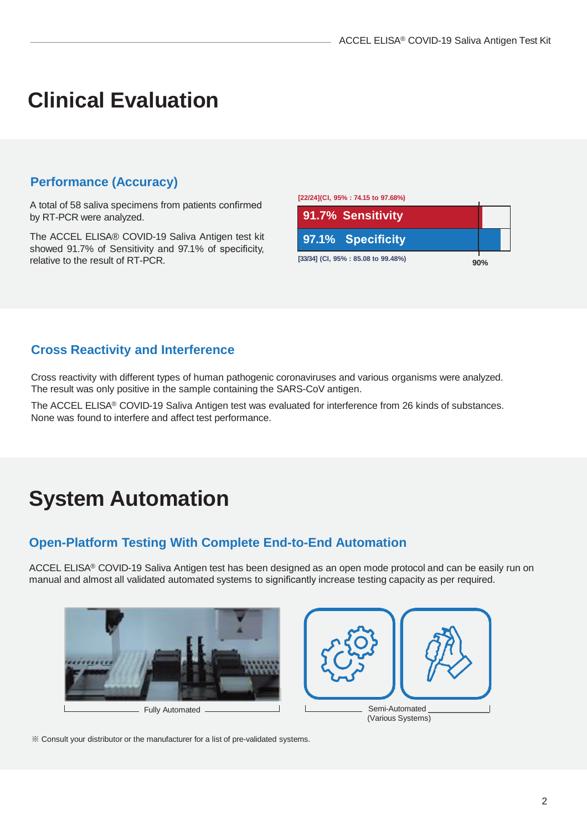# **Clinical Evaluation**

#### **Performance (Accuracy)**

A total of 58 saliva specimens from patients confirmed by RT-PCR were analyzed.

The ACCEL ELISA® COVID-19 Saliva Antigen test kit showed 91.7% of Sensitivity and 97.1% of specificity, relative to the result of RT-PCR.

| [22/24](CI, 95% : 74.15 to 97.68%)  |  |     |  |
|-------------------------------------|--|-----|--|
| 91.7% Sensitivity                   |  |     |  |
| 97.1% Specificity                   |  |     |  |
| [33/34] (CI, 95% : 85.08 to 99.48%) |  | 90% |  |

### **Cross Reactivity and Interference**

Cross reactivity with different types of human pathogenic coronaviruses and various organisms were analyzed. The result was only positive in the sample containing the SARS-CoV antigen.

The ACCEL ELISA® COVID-19 Saliva Antigen test was evaluated for interference from 26 kinds of substances. None was found to interfere and affect test performance.

# **System Automation**

### **Open-Platform Testing With Complete End-to-End Automation**

ACCEL ELISA® COVID-19 Saliva Antigen test has been designed as an open mode protocol and can be easily run on manual and almost all validated automated systems to significantly increase testing capacity as per required.



※ Consult your distributor or the manufacturer for a list of pre-validated systems.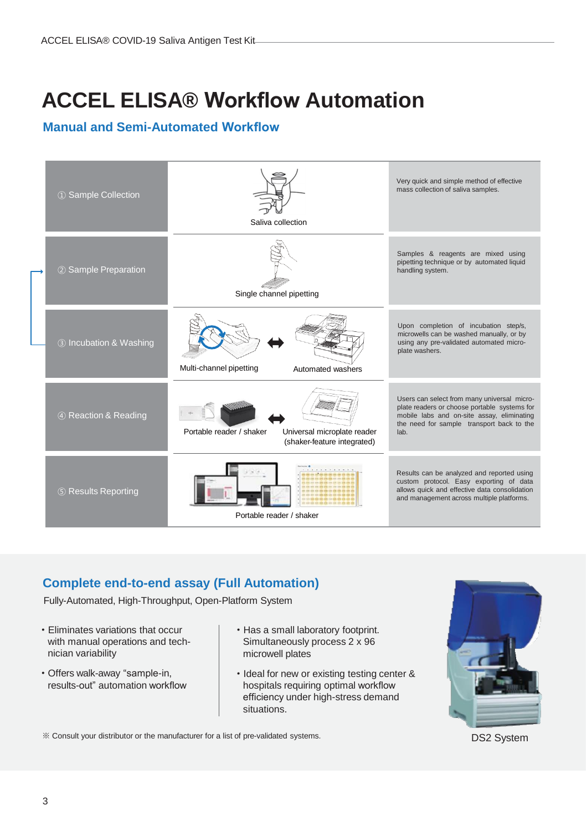# **ACCEL ELISA® Workflow Automation**

### **Manual and Semi-Automated Workflow**

| 1 Sample Collection    | Saliva collection                                                                      | Very quick and simple method of effective<br>mass collection of saliva samples.                                                                                                                |
|------------------------|----------------------------------------------------------------------------------------|------------------------------------------------------------------------------------------------------------------------------------------------------------------------------------------------|
| 2 Sample Preparation   | Single channel pipetting                                                               | Samples & reagents are mixed using<br>pipetting technique or by automated liquid<br>handling system.                                                                                           |
| 3 Incubation & Washing | Multi-channel pipetting<br>Automated washers                                           | Upon completion of incubation step/s,<br>microwells can be washed manually, or by<br>using any pre-validated automated micro-<br>plate washers.                                                |
| 4 Reaction & Reading   | Portable reader / shaker<br>Universal microplate reader<br>(shaker-feature integrated) | Users can select from many universal micro-<br>plate readers or choose portable systems for<br>mobile labs and on-site assay, eliminating<br>the need for sample transport back to the<br>lab. |
| 5 Results Reporting    | Portable reader / shaker                                                               | Results can be analyzed and reported using<br>custom protocol. Easy exporting of data<br>allows quick and effective data consolidation<br>and management across multiple platforms.            |

### **Complete end-to-end assay (Full Automation)**

Fully-Automated, High-Throughput, Open-Platform System

- · Eliminates variations that occur with manual operations and technician variability
- · Offers walk-away "sample-in, results-out" automation workflow
- · Has a small laboratory footprint. Simultaneously process 2 x 96 microwell plates
- · Ideal for new or existing testing center & hospitals requiring optimal workflow efficiency under high-stress demand situations.



DS2 System

※ Consult your distributor or the manufacturer for a list of pre-validated systems.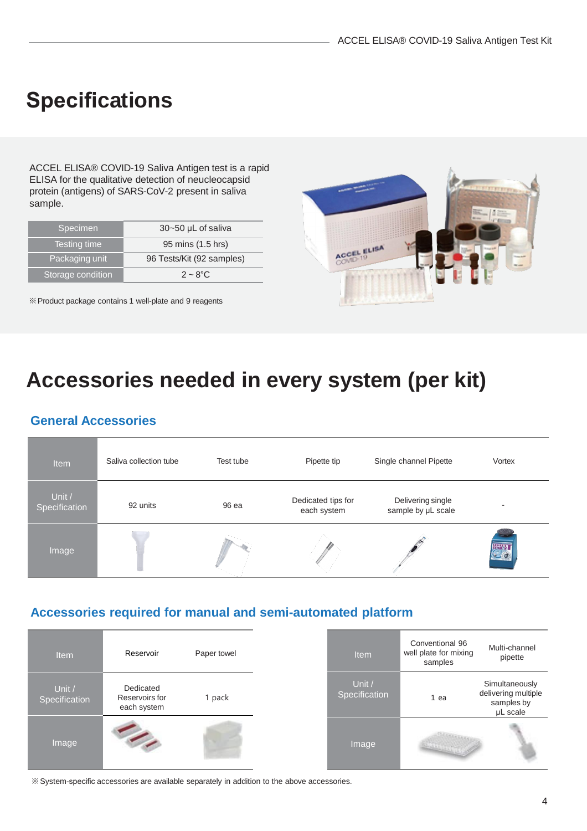### **Specifications**

ACCEL ELISA® COVID-19 Saliva Antigen test is a rapid ELISA for the qualitative detection of neucleocapsid protein (antigens) of SARS-CoV-2 present in saliva sample.

| 30~50 µL of saliva        |
|---------------------------|
|                           |
| 95 mins (1.5 hrs)         |
|                           |
| 96 Tests/Kit (92 samples) |
| $2 \sim 8^{\circ}$ C      |
|                           |

※Product package contains 1 well-plate and 9 reagents



## **Accessories needed in every system (per kit)**

### **General Accessories**

| Item                    | Saliva collection tube | Test tube | Pipette tip                       | Single channel Pipette                  | Vortex |
|-------------------------|------------------------|-----------|-----------------------------------|-----------------------------------------|--------|
| Unit /<br>Specification | 92 units               | 96 ea     | Dedicated tips for<br>each system | Delivering single<br>sample by µL scale |        |
| Image                   |                        |           |                                   |                                         | 4413   |

### **Accessories required for manual and semi-automated platform**

| <b>Item</b>             | Reservoir                                  | Paper towel |
|-------------------------|--------------------------------------------|-------------|
| Unit /<br>Specification | Dedicated<br>Reservoirs for<br>each system | 1 pack      |
| Image                   |                                            |             |

| <b>Item</b>               | Conventional 96<br>well plate for mixing<br>samples | Multi-channel<br>pipette                                        |  |
|---------------------------|-----------------------------------------------------|-----------------------------------------------------------------|--|
| Unit $/$<br>Specification | 1 ea                                                | Simultaneously<br>delivering multiple<br>samples by<br>µL scale |  |
| Image                     |                                                     |                                                                 |  |

※System-specific accessories are available separately in addition to the above accessories.